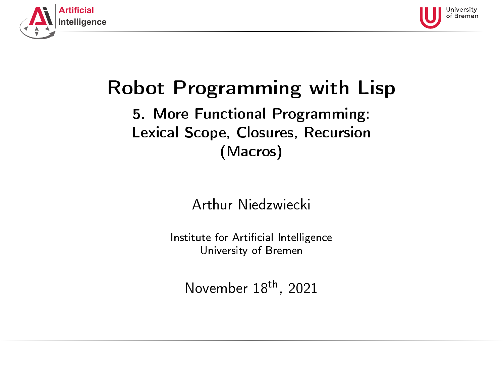<span id="page-0-0"></span>



# Robot Programming with Lisp

## 5. More Functional Programming: Lexical Scope, Closures, Recursion (Macros)

Arthur Niedzwiecki

Institute for Artificial Intelligence University of Bremen

November 18th, 2021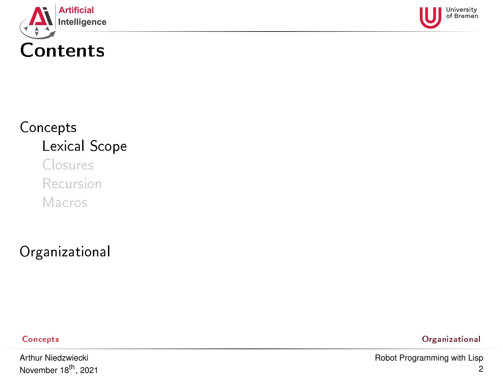<span id="page-1-0"></span>



## [Concepts](#page-1-0) [Lexical Scope](#page-1-0) [Closures](#page-23-0) [Recursion](#page-27-0)

[Macros](#page-35-0)

[Organizational](#page-47-0)

[Concepts](#page-1-0) [Organizational](#page-47-0)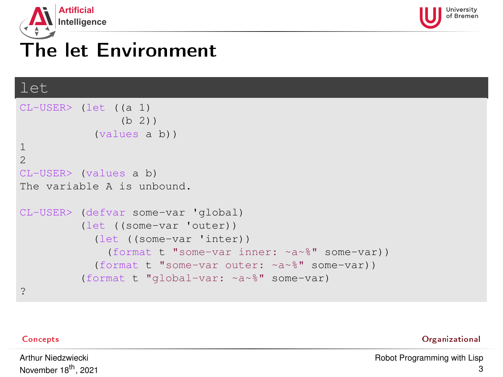<span id="page-2-0"></span>



## The let Environment

### let

```
CL-USER> (let ((a 1)
               (h 2)(values a b))
1
2
CL-USER> (values a b)
The variable A is unbound.
CL-USER> (defvar some-var 'global)
         (let ((some-var 'outer))
           (let ((some-var 'inter))
             (format t "some-var inner: ~a~%" some-var))
           (format t "some-var outer: ~a~%" some-var))
         (format t "global-var: ~a~%" some-var)
?
```
[Concepts](#page-1-0) [Organizational](#page-47-0)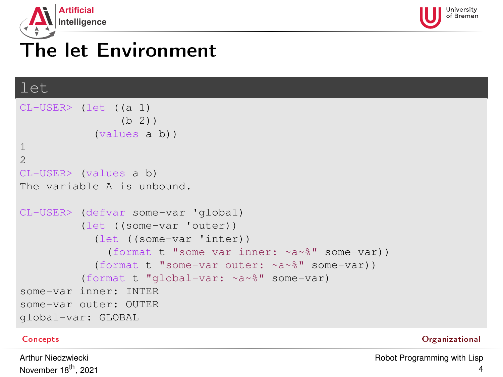<span id="page-3-0"></span>



## The let Environment

### let

```
CL-USER> (let ((a 1)
               (b 2)(values a b))
1
2
CL-USER> (values a b)
The variable A is unbound.
CL-USER> (defvar some-var 'global)
         (let ((some-var 'outer))
           (let ((some-var 'inter))
             (format t "some-var inner: ~a~%" some-var))
           (format t "some-var outer: ~a~%" some-var))
         (format t "global-var: ~a~%" some-var)
some-var inner: INTER
some-var outer: OUTER
global-var: GLOBAL
```
[Concepts](#page-1-0) [Organizational](#page-47-0)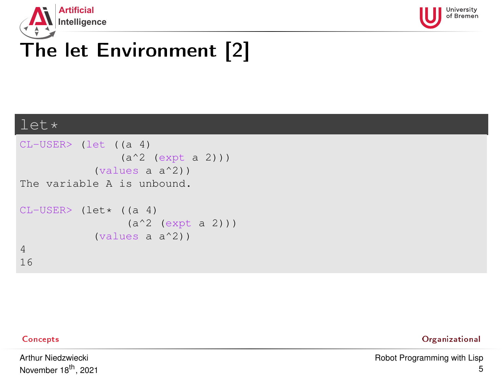<span id="page-4-0"></span>



## The let Environment [2]

### let\*

```
CL-USER> (let ((a 4)
                (a^2 (expt a 2)))
            (values a a^2))
The variable A is unbound.
CL-USER (let* ((a 4)
                 (a^2 (expt a 2)))
            (values a a^2))
4
16
```
Arthur Niedzwiecki November 18<sup>th</sup>, 2021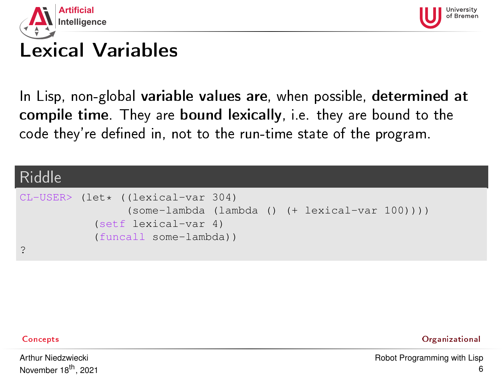<span id="page-5-0"></span>



## Lexical Variables

In Lisp, non-global variable values are, when possible, determined at compile time. They are bound lexically, i.e. they are bound to the code they're defined in, not to the run-time state of the program.

### Riddle CL-USER> (let\* ((lexical-var 304) (some-lambda (lambda () (+ lexical-var 100)))) (setf lexical-var 4) (funcall some-lambda)) ?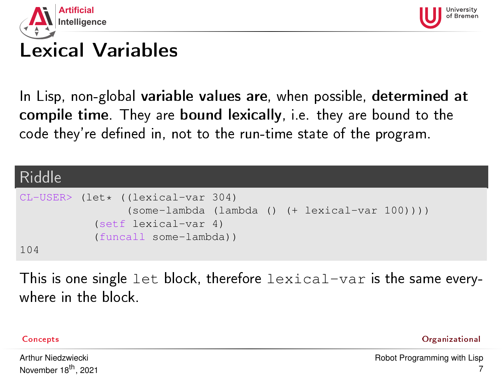<span id="page-6-0"></span>



## Lexical Variables

In Lisp, non-global variable values are, when possible, determined at compile time. They are bound lexically, i.e. they are bound to the code they're defined in, not to the run-time state of the program.

### Riddle CL-USER> (let\* ((lexical-var 304) (some-lambda (lambda () (+ lexical-var 100)))) (setf lexical-var 4) (funcall some-lambda)) 104

This is one single let block, therefore lexical-var is the same everywhere in the block.

[Concepts](#page-1-0) [Organizational](#page-47-0)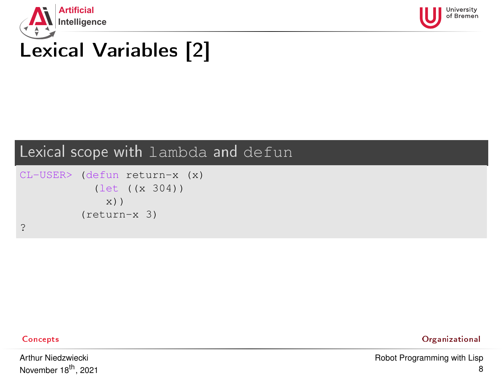<span id="page-7-0"></span>



## Lexical scope with lambda and defun

```
CL-USER> (defun return-x (x)
            (let ((x 304))
              x))
          (return-x 3)
?
```
Arthur Niedzwiecki November 18<sup>th</sup>, 2021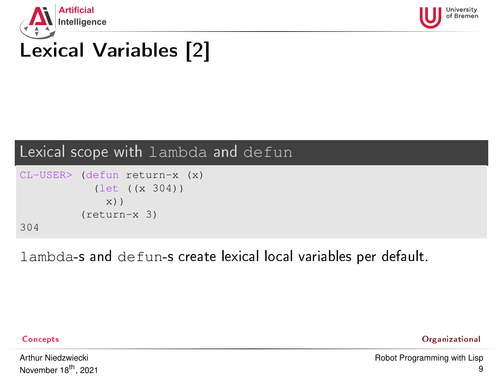<span id="page-8-0"></span>



## Lexical scope with lambda and defun

```
CL-USER> (defun return-x (x)
            (let ((x 304))
              x))
          (return-x 3)
304
```
lambda-s and defun-s create lexical local variables per default.

Arthur Niedzwiecki November 18<sup>th</sup>, 2021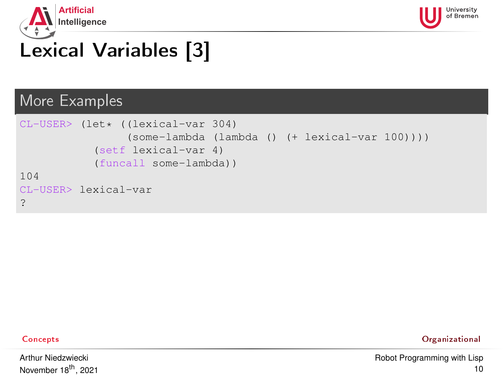<span id="page-9-0"></span>



### More Examples

```
CI-USER> (let* ((lexical-var 304)
                 (some-lambda (lambda () (+ lexical-var 100))))
           (setf lexical-var 4)
            (funcall some-lambda))
104
CL-USER> lexical-var
?
```
Arthur Niedzwiecki November 18<sup>th</sup>, 2021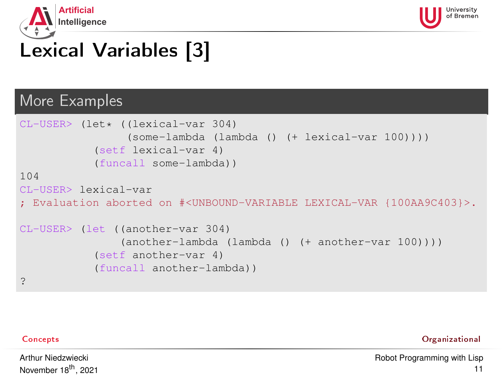



### More Examples

```
CI-USER> (let* ((lexical-var 304)
                (some-lambda (lambda () (+ lexical-var 100))))
           (setf lexical-var 4)
           (funcall some-lambda))
104
CL-USER> lexical-var
; Evaluation aborted on #<UNBOUND-VARIABLE LEXICAL-VAR {100AA9C403}>.
CL-USER> (let ((another-var 304)
               (another-lambda (lambda () (+ another-var 100))))
           (setf another-var 4)
           (funcall another-lambda))
?
```
Arthur Niedzwiecki November 18<sup>th</sup>, 2021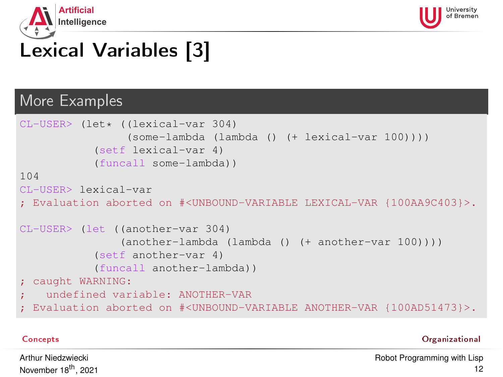



### More Examples

```
CI-USER> (let* ((lexical-var 304)
                (some-lambda (lambda () (+ lexical-var 100))))
           (setf lexical-var 4)
           (funcall some-lambda))
104
CL-USER> lexical-var
; Evaluation aborted on #<UNBOUND-VARIABLE LEXICAL-VAR {100AA9C403}>.
CL-USER> (let ((another-var 304)
               (another-lambda (lambda () (+ another-var 100))))
           (setf another-var 4)
           (funcall another-lambda))
; caught WARNING:
    ; undefined variable: ANOTHER-VAR
 Evaluation aborted on #<UNBOUND-VARIABLE ANOTHER-VAR {100AD51473}>.
```
[Concepts](#page-1-0) [Organizational](#page-47-0)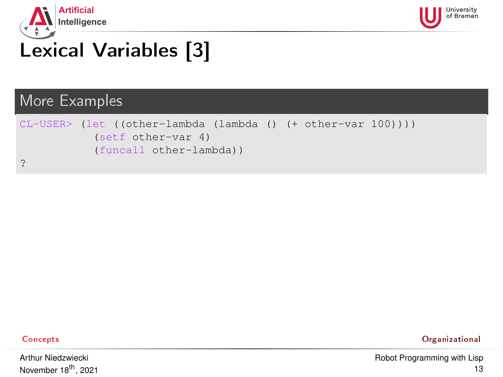



### More Examples

```
CL-USER> (let ((other-lambda (lambda () (+ other-var 100))))
           (setf other-var 4)
           (funcall other-lambda))
?
```
Arthur Niedzwiecki November 18<sup>th</sup>, 2021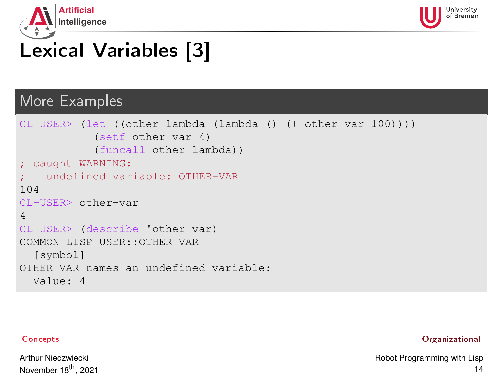



### More Examples

```
CL-USER> (let ((other-lambda (lambda () (+ other-var 100))))
           (setf other-var 4)
           (funcall other-lambda))
; caught WARNING:
   ; undefined variable: OTHER-VAR
104
CL-USER> other-var
4
CL-USER> (describe 'other-var)
COMMON-LISP-USER::OTHER-VAR
  [symbol]
OTHER-VAR names an undefined variable:
 Value: 4
```
[Concepts](#page-1-0) [Organizational](#page-47-0)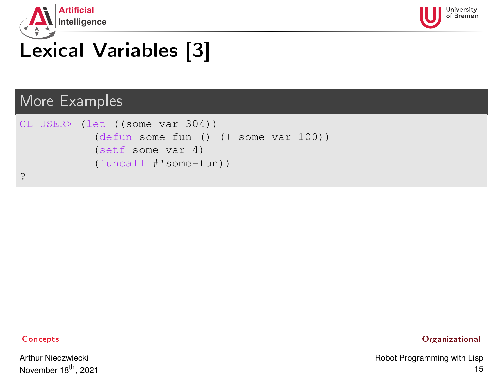



### More Examples

```
CL-USER> (let ((some-var 304))
           (defun some-fun () (+ some-var 100))
           (setf some-var 4)
           (funcall #'some-fun))
?
```
Arthur Niedzwiecki November 18<sup>th</sup>, 2021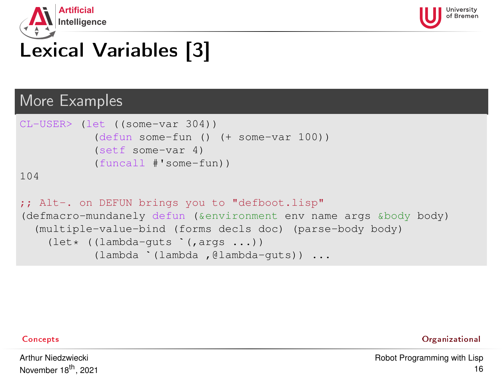<span id="page-15-0"></span>



### More Examples

```
CL-USER> (let ((some-var 304))
                        (defun some-fun () (+ some-var 100))
                        (setf some-var 4)
                        (funcall #'some-fun))
104
;; Alt-. on DEFUN brings you to "defboot.lisp"<br>(defmacro-mundanely defun (&environment env na<br>(multiple-value-bind (forms decls doc) (pars<br>(let* ((lambda-guts `(,args ...))
% ALC-. ON DEFON DIINGS you to caerboot.IISP<br>
(defmacro-mundanely defun (&environment env name args &body body)<br>
(multiple-value-bind (forms decls doc) (parse-body body)<br>
(let* ((lambda-guts '(,args ...))<br>
(lambda '(lambda
     (multiple-value-bind (forms decls doc) (parse-body body)
```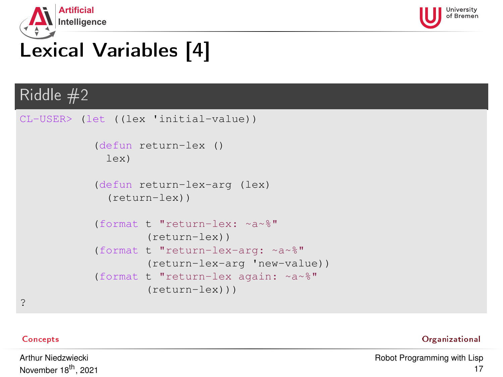<span id="page-16-0"></span>



## Riddle #2

```
CL-USER> (let ((lex 'initial-value))
           (defun return-lex ()
             lex)
           (defun return-lex-arg (lex)
             (return-lex))
           (format t "return-lex: ~a~%"
                    (return-lex))
           (format t "return-lex-arg: ~a~%"
                    (return-lex-arg 'new-value))
           (format t "return-lex again: ~a~%"
                    (return-lex)))
```
?

[Concepts](#page-1-0) [Organizational](#page-47-0)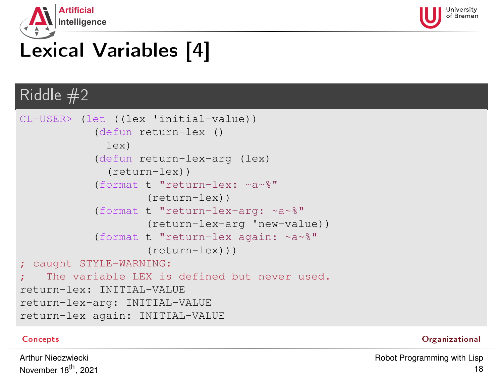<span id="page-17-0"></span>



## Riddle #2

```
CL-USER> (let ((lex 'initial-value))
           (defun return-lex ()
             lex)
           (defun return-lex-arg (lex)
             (return-lex))
           (format t "return-lex: ~a~%"
                    (return-lex))
           (format t "return-lex-arg: ~a~%"
                    (return-lex-arg 'new-value))
           (format t "return-lex again: ~a~%"
                    (return-lex)))
; caught STYLE-WARNING:
    The variable LEX is defined but never used.
return-lex: INITIAL-VALUE
return-lex-arg: INITIAL-VALUE
return-lex again: INITIAL-VALUE
```
[Concepts](#page-1-0) [Organizational](#page-47-0)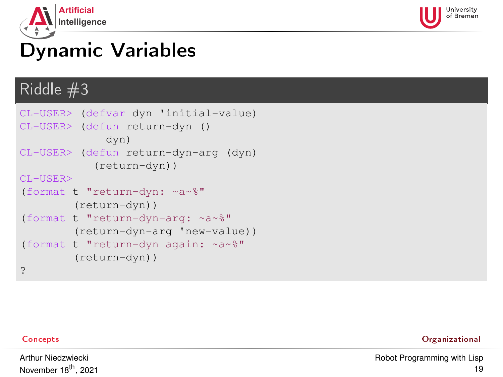<span id="page-18-0"></span>



## Dynamic Variables

### Riddle #3

```
CL-USER> (defvar dyn 'initial-value)
CL-USER> (defun return-dyn ()
             dyn)
CL-USER> (defun return-dyn-arg (dyn)
           (return-dyn))
CL-USER>
(format t "return-dyn: ~a~%"
        (return-dyn))
(format t "return-dyn-arg: ~a~%"
        (return-dyn-arg 'new-value))
(format t "return-dyn again: ~a~%"
        (return-dyn))
?
```
Arthur Niedzwiecki November 18<sup>th</sup>, 2021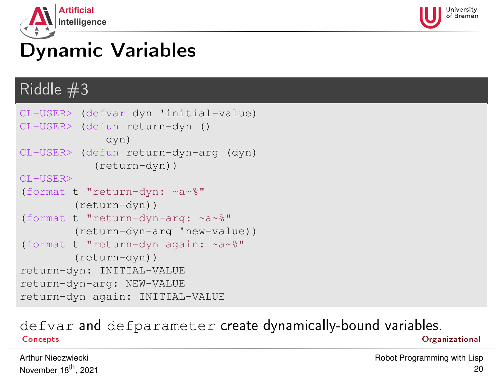<span id="page-19-0"></span>



## Dynamic Variables

### Riddle #3

```
CL-USER> (defvar dyn 'initial-value)
CL-USER> (defun return-dyn ()
             dyn)
CL-USER> (defun return-dyn-arg (dyn)
           (return-dyn))
CL-USER>
(format t "return-dyn: ~a~%"
        (return-dyn))
(format t "return-dyn-arg: ~a~%"
        (return-dyn-arg 'new-value))
(format t "return-dyn again: ~a~%"
        (return-dyn))
return-dyn: INITIAL-VALUE
return-dyn-arg: NEW-VALUE
return-dyn again: INITIAL-VALUE
```
### defvar and defparameter create dynamically-bound variables. [Concepts](#page-1-0) [Organizational](#page-47-0)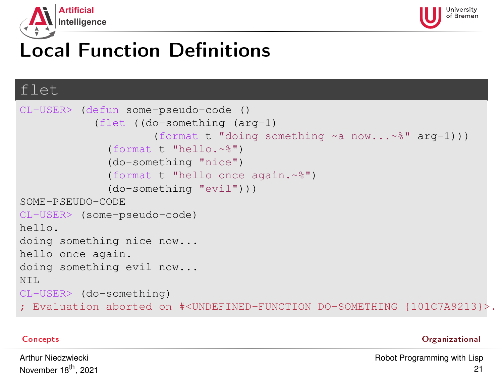<span id="page-20-0"></span>



## **Local Function Definitions**

### flet

```
CL-USER> (defun some-pseudo-code ()
            (flet ((do-something (arg-1)
                     (format t "doing something ~a now...~%" arg-1)))
              (format t "hello.~%")
              (do-something "nice")
              (format t "hello once again.~%")
              (do-something "evil")))
SOME-PSEUDO-CODE
CL-USER> (some-pseudo-code)
hello.
doing something nice now...
hello once again.
doing something evil now...
NTT.
CL-USER> (do-something)
; Evaluation aborted on #<UNDEFINED-FUNCTION DO-SOMETHING {101C7A9213}>.
```
[Concepts](#page-1-0) [Organizational](#page-47-0)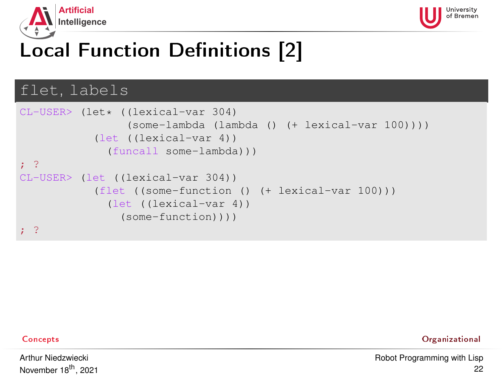<span id="page-21-0"></span>



## Local Function Definitions [2]

### flet, labels

```
CL-USER> (let* ((lexical-var 304)
                 (some-lambda (lambda () (+ lexical-var 100))))
           (let ((lexical-var 4))
              (funcall some-lambda)))
; ?
CL-USER> (let ((lexical-var 304))
           (flet ((some-function () (+ lexical-var 100)))
              (let ((lexical-var 4))
                (some-function))))
 ; ?
```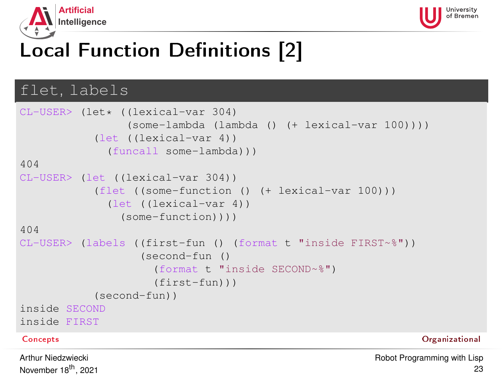<span id="page-22-0"></span>



## Local Function Definitions [2]

### flet, labels

```
CL-USER> (let* ((lexical-var 304)
               (some-lambda (lambda () (+ lexical-var 100))))
          (let ((lexical-var 4))
            (funcall some-lambda)))
404
CL-USER> (let ((lexical-var 304))
          (flet ((some-function () (+ lexical-var 100)))
            (let ((lexical-var 4))
              (some-function))))
404
CL-USER> (labels ((first-fun () (format t "inside FIRST~%"))
                 (second-fun ()
                   (format t "inside SECOND~%")
                   (first-fun)))
          (second-fun))
inside SECOND
inside FIRST
Concepts Organizational
Arthur Niedzwiecki
```
November 18<sup>th</sup>, 2021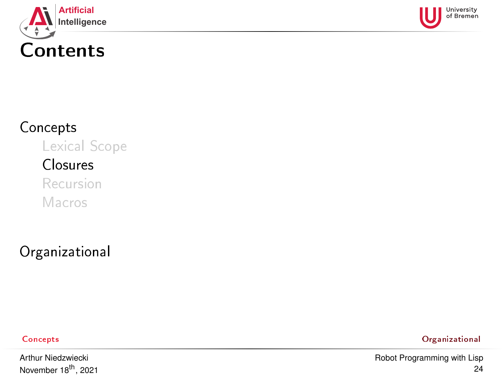<span id="page-23-0"></span>



## [Concepts](#page-1-0)

[Lexical Scope](#page-1-0)

### [Closures](#page-23-0)

[Recursion](#page-27-0) [Macros](#page-35-0)

[Organizational](#page-47-0)

Arthur Niedzwiecki November 18<sup>th</sup>, 2021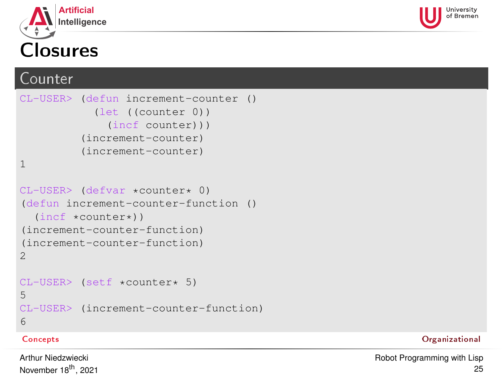<span id="page-24-0"></span>



## Counter

```
CL-USER> (defun increment-counter ()
           (let ((counter 0))
             (incf counter)))
         (increment-counter)
         (increment-counter)
1
CL-USER> (defvar *counter* 0)
(defun increment-counter-function ()
  (incf *counter*))
(increment-counter-function)
(increment-counter-function)
2
CL-USER> (setf *counter* 5)
5
CL-USER> (increment-counter-function)
6
```
### [Concepts](#page-1-0) [Organizational](#page-47-0)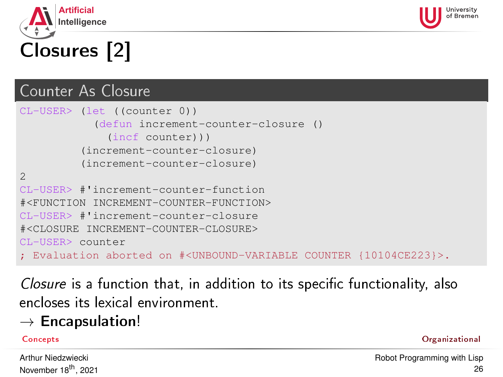<span id="page-25-0"></span>

### Counter As Closure

```
CL-USER> (let ((counter 0))
            (defun increment-counter-closure ()
              (incf counter)))
         (increment-counter-closure)
         (increment-counter-closure)
\overline{2}CL-USER> #'increment-counter-function
#<FUNCTION INCREMENT-COUNTER-FUNCTION>
CL-USER> #'increment-counter-closure
#<CLOSURE INCREMENT-COUNTER-CLOSURE>
CL-USER> counter
 ; Evaluation aborted on #<UNBOUND-VARIABLE COUNTER {10104CE223}>.
```
Closure is a function that, in addition to its specific functionality, also encloses its lexical environment.

## $\rightarrow$  Encapsulation!

### [Concepts](#page-1-0) [Organizational](#page-47-0)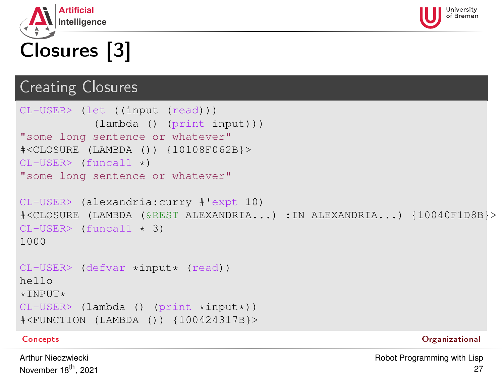<span id="page-26-0"></span>



# Closures [3]

## Creating Closures

```
CL-USER> (let ((input (read)))
          (lambda () (print input)))
"some long sentence or whatever"
#<CLOSURE (LAMBDA ()) {10108F062B}>
CL-USER> (funcall *)
"some long sentence or whatever"
CL-USER> (alexandria:curry #'expt 10)
#<CLOSURE (LAMBDA (&REST ALEXANDRIA...) :IN ALEXANDRIA...) {10040F1D8B}>
CL-USER> (funcall \star 3)
1000
CL-USER> (defvar *input* (read))
hello
*INPUT*CL-USER> (lambda () (print *input*))
#<FUNCTION (LAMBDA ()) {100424317B}>
Concepts Organizational
```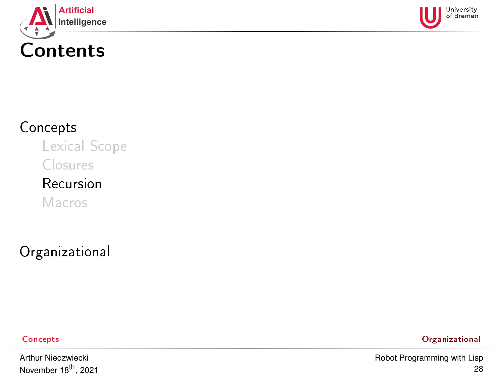<span id="page-27-0"></span>



## [Concepts](#page-1-0)

[Lexical Scope](#page-1-0)

[Closures](#page-23-0)

## [Recursion](#page-27-0)

[Macros](#page-35-0)

[Organizational](#page-47-0)

[Concepts](#page-1-0) [Organizational](#page-47-0)

Arthur Niedzwiecki November 18<sup>th</sup>, 2021 [Robot Programming with Lisp](#page-0-0) 28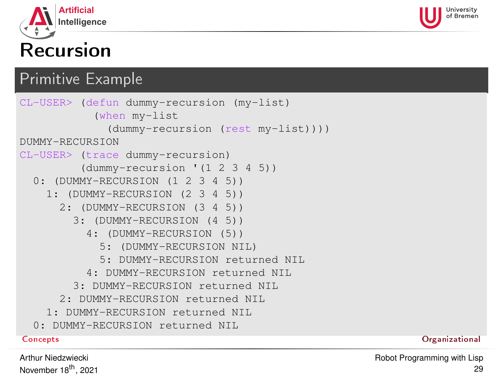<span id="page-28-0"></span>

## Recursion

## Primitive Example

```
CL-USER> (defun dummy-recursion (my-list)
          (when my-list
            (dummy-recursion (rest my-list))))
DUMMY-RECURSION
CL-USER> (trace dummy-recursion)
        (dummy-recursion '(1 2 3 4 5))
 0: (DUMMY-RECURSION (1 2 3 4 5))
   1: (DUMMY-RECURSION (2 3 4 5))
     2: (DUMMY-RECURSION (3 4 5))
       3: (DUMMY-RECURSION (4 5))
         4: (DUMMY-RECURSION (5))
           5: (DUMMY-RECURSION NIL)
           5: DUMMY-RECURSION returned NIL
         4: DUMMY-RECURSION returned NIL
       3: DUMMY-RECURSION returned NIL
     2: DUMMY-RECURSION returned NIL
   1: DUMMY-RECURSION returned NIL
 0: DUMMY-RECURSION returned NTL
Concepts Organizational
```
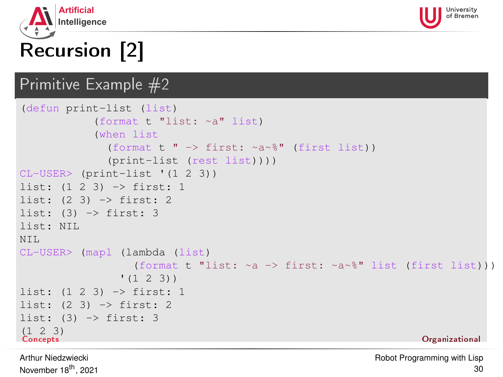<span id="page-29-0"></span>



# Recursion [2]

## Primitive Example #2

```
(defun print-list (list)
            (format t "list: ~a" list)
            (when list
              (format t " -> first: ~a~%" (first list))
              (print-list (rest list))))
CL-USER> (print-list '(1 2 3))
list: (1 2 3) -> first: 1
list: (2 3) -> first: 2
list: (3) \rightarrow first: 3
list: NIL
NTT.
CL-USER> (mapl (lambda (list)
                  (format t "list: \sim a \rightarrow first: \sim a \sim \" list (first list)))
                (1 \t2 \t3)list: (1 2 3) -> first: 1
list: (2 3) -> first: 2
list: (3) \rightarrow first: 3
(1 2 3)<br>Concepts
Concepts Organizational
```
Arthur Niedzwiecki November 18<sup>th</sup>, 2021 [Robot Programming with Lisp](#page-0-0) 30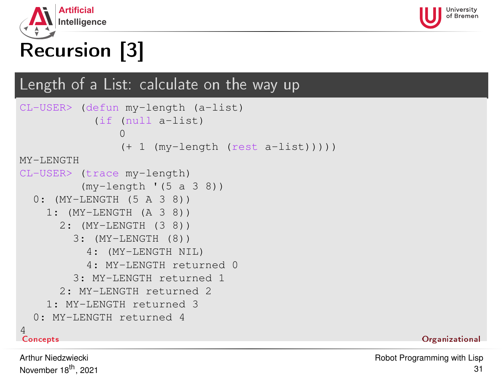<span id="page-30-0"></span>



# Recursion [3]

## Length of a List: calculate on the way up

```
CL-USER> (defun my-length (a-list)
          (if (null a-list)
              \Omega(+ 1 (my-length (rest a-list)))))
MY-LENGTH
CL-USER> (trace my-length)
         (my-length '(5 a 3 8))
  0: (MY-LENGTH (5 A 3 8))
    1: (MY-LENGTH (A 3 8))
     2: (MY-LENGTH (3 8))
       3: (MY-LENGTH (8))
         4: (MY-LENGTH NIL)
         4: MY-LENGTH returned 0
       3: MY-LENGTH returned 1
     2: MY-LENGTH returned 2
    1: MY-LENGTH returned 3
  0: MY-LENGTH returned 4
Concepts
Concepts Organizational
```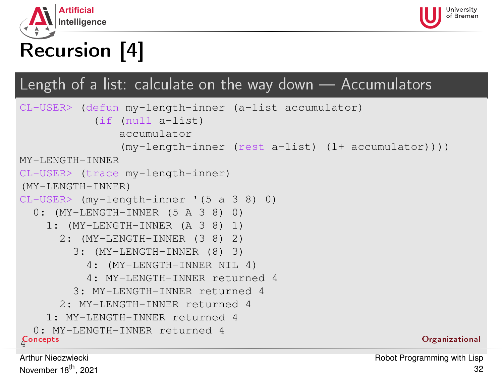<span id="page-31-0"></span>



# Recursion [4]

## Length of a list: calculate on the way down  $-$  Accumulators

```
CL-USER> (defun my-length-inner (a-list accumulator)
           (if (null a-list)
               accumulator
               (my-length-inner (rest a-list) (1+ accumulator))))
MY-LENGTH-INNER
CL-USER> (trace my-length-inner)
(MY-LENGTH-INNER)
CL-USER> (my-length-inner '(5 a 3 8) 0)
  0: (MY-LENGTH-INNER (5 A 3 8) 0)
    1: (MY-LENGTH-INNER (A 3 8) 1)
      2: (MY-LENGTH-INNER (3 8) 2)
        3: (MY-LENGTH-INNER (8) 3)
          4: (MY-LENGTH-INNER NIL 4)
          4: MY-LENGTH-INNER returned 4
        3: MY-LENGTH-INNER returned 4
      2: MY-LENGTH-INNER returned 4
    1: MY-LENGTH-INNER returned 4
  0: MY-LENGTH-INNER returned 4
Concepts
{\mathcal L}oncepts \hbox{O}rganizational and {\mathcal L}
```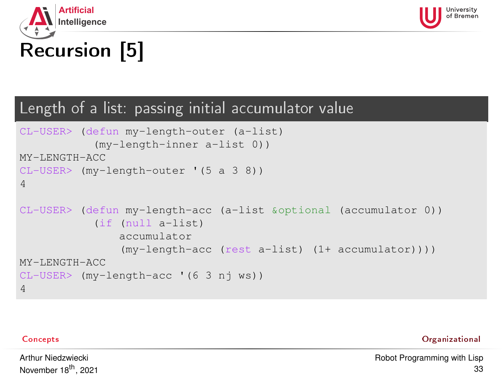<span id="page-32-0"></span>



# Recursion [5]

### Length of a list: passing initial accumulator value

```
CL-USER> (defun my-length-outer (a-list)
           (my-length-inner a-list 0))
MY-LENGTH-ACC
CL-USER> (my-length-outer '(5 a 3 8))
4
CL-USER> (defun my-length-acc (a-list &optional (accumulator 0))
           (if (null a-list)
               accumulator
               (my-length-acc (rest a-list) (1+ accumulator))))
MY-LENGTH-ACC
CL-USER> (my-length-acc '(6 3 nj ws))
4
```
[Concepts](#page-1-0) [Organizational](#page-47-0)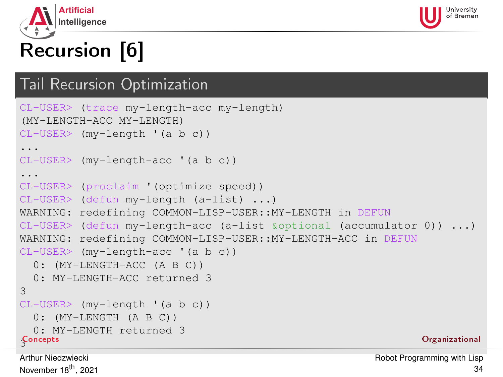<span id="page-33-0"></span>



# Recursion [6]

### Tail Recursion Optimization

```
CL-USER> (trace my-length-acc my-length)
(MY-LENGTH-ACC MY-LENGTH)
CL-USER> (my-length '(a b c))
...
CL-USER> (my-length-acc '(a b c))
...
CL-USER> (proclaim '(optimize speed))
CL-USER> (defun my-length (a-list) ...)
WARNING: redefining COMMON-LISP-USER::MY-LENGTH in DEFUN
CL-USER> (defun my-length-acc (a-list &optional (accumulator 0)) ...)
WARNING: redefining COMMON-LISP-USER::MY-LENGTH-ACC in DEFUN
CL-USER> (my-length-acc '(a b c))
  0: (MY-LENGTH-ACC (A B C))
  0: MY-LENGTH-ACC returned 3
3
CL-USER> (my-length '(a b c))
  0: (MY-LENGTH (A B C))
  0: MY-LENGTH returned 3
Concepts
{\mathfrak{L}}oncepts {\mathfrak{O}}rganizational and {\mathfrak{L}}
```
Arthur Niedzwiecki November 18<sup>th</sup>, 2021 [Robot Programming with Lisp](#page-0-0) 34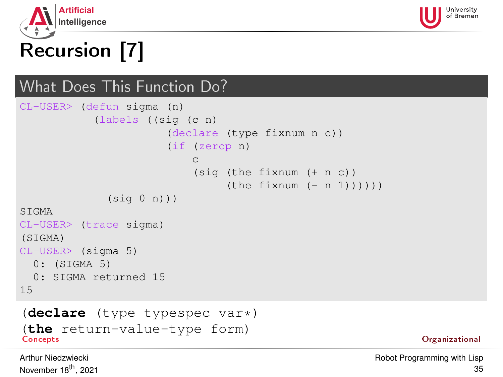<span id="page-34-0"></span>



# Recursion [7]

## What Does This Function Do?

```
CL-USER> (defun sigma (n)
           (labels ((sig (c n)
                       (declare (type fixnum n c))
                       (if (zerop n)
                           c
                           (sig (the fixnum (+ n c))
                                (the fixnum (- n 1))))(sia (n))STGMA
CL-USER> (trace sigma)
(SIGMA)
CL-USER> (sigma 5)
 0: (SIGMA 5)
 0: SIGMA returned 15
15
```
### (**declare** (type typespec var\*) (**the** return-value-type form) [Concepts](#page-1-0) [Organizational](#page-47-0)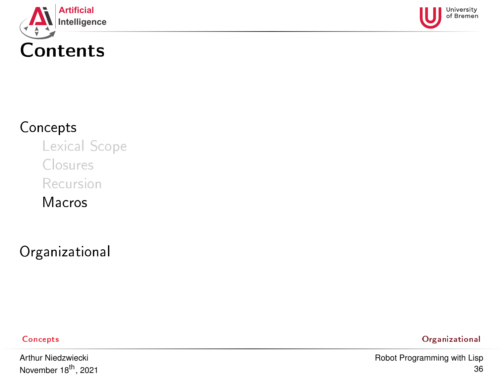<span id="page-35-0"></span>



## [Concepts](#page-1-0)

[Lexical Scope](#page-1-0)

[Closures](#page-23-0)

[Recursion](#page-27-0)

[Macros](#page-35-0)

[Organizational](#page-47-0)

Arthur Niedzwiecki November 18<sup>th</sup>, 2021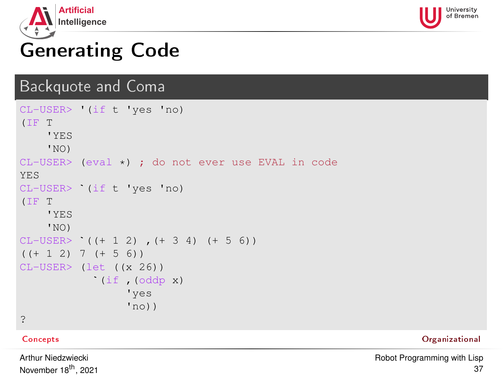<span id="page-36-0"></span>



## Generating Code

### Backquote and Coma

```
CL-USER> '(if t 'yes 'no)
(IF T
     'YES
     'NO)
CL-USER> (eval *) ; do not ever use EVAL in code
YES
'is<br>CL-USER> (eval *) ; do no<br>YES<br>CL-USER> `(if t 'yes 'no)
(IF T
      'YES
     'NO)
(IF T<br>
(IF T<br>
'YES<br>
'NO)<br>
CL-USER> '((+ 1 2) , (+ 3 4) (+ 5 6))
((+ 1 2) 7 (+ 5 6))CL-USER> (let ((x 26))
               (if ,(oddp x)
                       'yes
                       'no))?
```
[Concepts](#page-1-0) [Organizational](#page-47-0)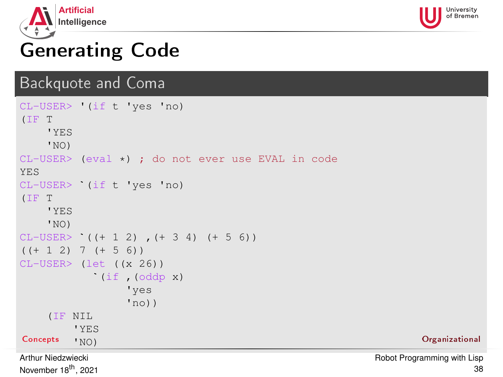<span id="page-37-0"></span>



## Generating Code

### Backquote and Coma

```
CL-USER> '(if t 'yes 'no)
(IF T
     'YES
    'NO)
CL-USER> (eval *) ; do not ever use EVAL in code
YES
CL-USER> `(if t 'yes 'no)
(IF T
    'YES
    'NO)
(IF T<br>
(IF T<br>
'YES<br>
'NO)<br>
CL-USER> '((+ 1 2) , (+ 3 4) (+ 5 6))
(( + 1 2) 7 (+ 5 6))CL-USER> (let ((x 26))
             (if ,(oddp x)
                   'yes
                   'no))(IF NIL
         'YES
Concepts \mathsf{v}_{\text{NO)}} . Concepts \mathsf{v}_{\text{NO}}Arthur Niedzwiecki
```
November 18<sup>th</sup>, 2021

[Robot Programming with Lisp](#page-0-0) 38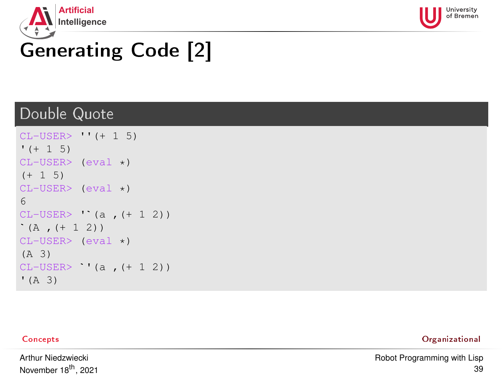<span id="page-38-0"></span>



# Generating Code [2]

### Double Quote

```
CL-USER> ''(+ 1 5)
' (+ 1 5)CL-USER> (eval *)
(+ 1 5)CL-USER> (eval *)
`6
CL-USER > ' (a , (+ 1 2))(A, (+ 1 2))CL-USER> (eval \star)
(A 3)
CL-USER> '(a, (+ 1 2))
(A, 3)
```

| Concepts | Organizational |
|----------|----------------|
|          |                |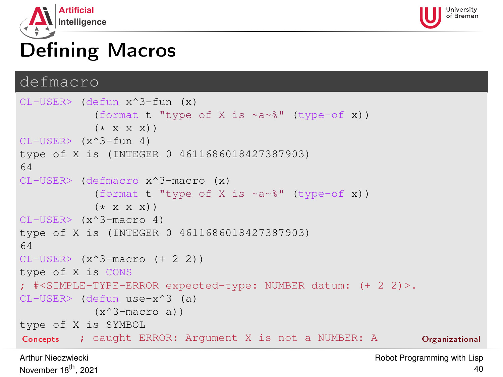<span id="page-39-0"></span>



## **Defining Macros**

### defmacro

```
CL-USER> (defun x^3-fun (x)
            (format t "type of X is \sim a \sim \ell" (type-of x))
            (* x x x)CL-USER> (x^3-fun 4)
type of X is (INTEGER 0 4611686018427387903)
64
CL-USER> (defmacro x^3-macro (x)
            (format t "type of X is \sim a \sim \frac{1}{6}" (type-of x))
            (* x x x))CL-USER> (x^3-macro 4)
type of X is (INTEGER 0 4611686018427387903)
64CL-USER> (x^3-macc) (+ 2 2)type of X is CONS
; #<SIMPLE-TYPE-ERROR expected-type: NUMBER datum: (+ 2 2)>.
CL-USER> (defun use-x^3 (a)
            (x^3-macro a))
type of X is SYMBOL
Concepts ; caught ERROR: Argument X is not a NUMBER: A Organizational
```
Arthur Niedzwiecki November 18<sup>th</sup>, 2021 [Robot Programming with Lisp](#page-0-0)  $40$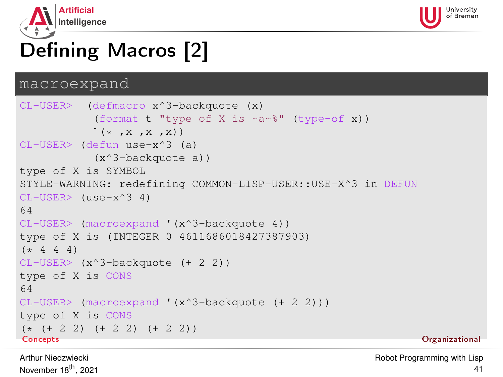<span id="page-40-0"></span>



# Defining Macros [2]

### macroexpand `

```
CL-USER> (defmacro x^3-backquote (x)
          (format t "type of X is ~a~%" (type-of x))
          *(\star, x, x, x))CL-USER> (defun use-x^3 (a)
          (x^3-backquote a))
type of X is SYMBOL
STYLE-WARNING: redefining COMMON-LISP-USER::USE-X^3 in DEFUN
CL-USER> (use-x^3 4)
64
CL-USER> (macroexpand '(x^3-backquote 4))
type of X is (INTEGER 0 4611686018427387903)
(* 4 4 4)CL-USER> (x^3-backquote (+ 2 2))
type of X is CONS
64
CL-USER> (macroexpand '(x^3-backquote (+ 2 2)))
type of X is CONS
(* (+ 2 2) (+ 2 2) (+ 2 2))<br>Concepts
Concepts Organizational
```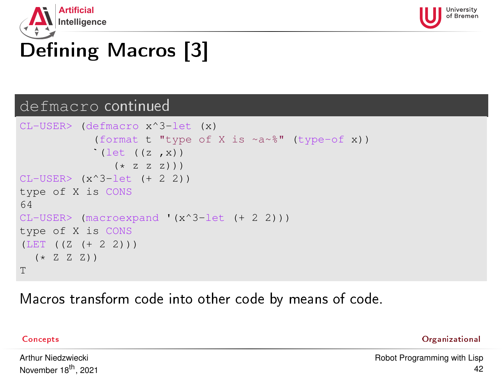<span id="page-41-0"></span>



# Defining Macros [3]

### defmacro continued `

```
CL-USER> (defmacro x^3-let (x)
           (format t "type of X is ~a~%" (type-of x))
           (let ((z, x))(* 7 7 7))CL-USER> (x^3-let (+ 2 2))
type of X is CONS
64
CL-USER> (macroexpand '(x^3-let (+ 2 2)))
type of X is CONS
(LET ((Z (+ 2 2)))
  (*ZZZ)T
```
Macros transform code into other code by means of code.

| × |  |
|---|--|
|---|--|

[Concepts](#page-1-0) [Organizational](#page-47-0)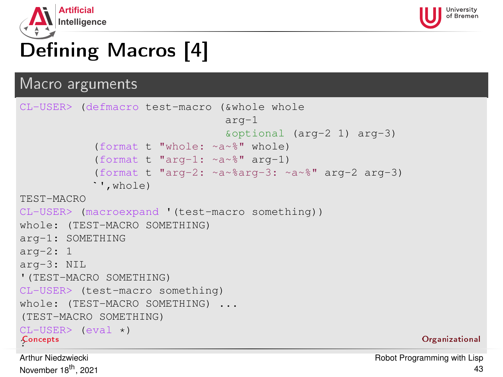<span id="page-42-0"></span>



# Defining Macros [4]

### Macro arguments

```
CL-USER> (defmacro test-macro (&whole whole
                                arg-1
                                &optional (arg-2 1) arg-3)
           (format t "whole: ~a~%" whole)
`(format t "arg-1: ~a~%" arg-1)
           (format t "arg-2: ~a~%arg-3: ~a~%" arg-2 arg-3)
           ',whole)
TEST-MACRO
CL-USER> (macroexpand '(test-macro something))
whole: (TEST-MACRO SOMETHING)
arg-1: SOMETHING
arg-2: 1
arg-3: NIL
'(TEST-MACRO SOMETHING)
CL-USER> (test-macro something)
whole: (TEST-MACRO SOMETHING) ...
(TEST-MACRO SOMETHING)
CL-USER (eval \star)
Concepts
{\mathfrak{L}}oncepts {\mathfrak{O}}rganizational and {\mathfrak{L}}
```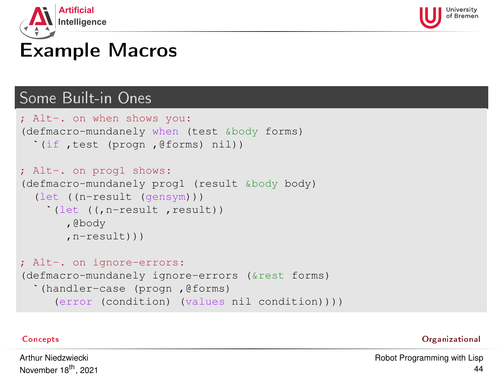<span id="page-43-0"></span>



## Example Macros

## Some Built-in Ones `

```
; Alt-. on when shows you:
(defmacro-mundanely when (test &body forms)
  (if ,test (progn ,@forms) nil))
; Alt-. on progl shows:
(defmacro-mundanely prog1 (result &body body)
  (let ((n-result (gensym)))
    (let ((,n-result ,result))
       ,@body
       ,n-result)))
; Alt-. on ignore-errors:
(defmacro-mundanely ignore-errors (&rest forms)
  (handler-case (progn ,@forms)
     (error (condition) (values nil condition))))
```
[Concepts](#page-1-0) [Organizational](#page-47-0)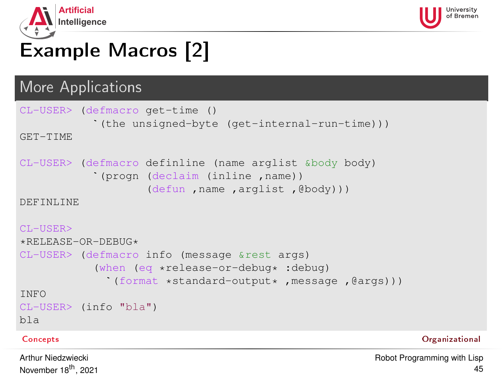<span id="page-44-0"></span>



# Example Macros [2]

# More Applications

```
CL-USER> (defmacro get-time ()
           (the unsigned-byte (get-internal-run-time)))
`GET-TIME
CL-USER> (defmacro definline (name arglist &body body)
           (progn (declaim (inline ,name))
                    (defun ,name ,arglist ,@body)))
DEFINLINE
CL-USER>
*RELEASE-OR-DEBUG*
`CL-USER> (defmacro info (message &rest args)
           (when (eq *release-or-debug* :debug)
             (format *standard-output * .message .@aras)))INFO
CL-USER> (info "bla")
bla
```
### [Concepts](#page-1-0) [Organizational](#page-47-0)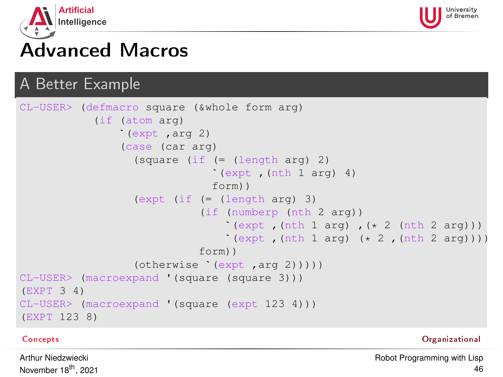<span id="page-45-0"></span>



## Advanced Macros

## A Better Example `

```
CL-USER> (defmacro square (&whole form arg)
            (if (atom arg)
                 (expt ,arg 2)
                 (case (car arg)
                   (square (if (= (length arg) 2)
                                  (expt, (nth 1 arg) 4)form))
                   (expt (if (= (length arg) 3)
`(if (numberp (nth 2 arg))
                                   (\text{expt }, (\text{nth } 1 \text{ arg}) , (* 2 (\text{nth } 2 \text{ arg})))((expt, (nth 1 arg) (* 2, (nth 2 arg))))form))
                   (otherwise `(expt ,arg 2)))))
CL-USER> (macroexpand '(square (square 3)))
(EXPT 3 4)
CL-USER> (macroexpand '(square (expt 123 4)))
(EXPT 123 8)
```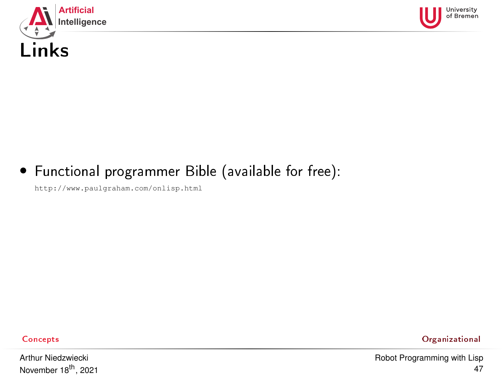<span id="page-46-0"></span>



## • Functional programmer Bible (available for free):

<http://www.paulgraham.com/onlisp.html>

Arthur Niedzwiecki November 18<sup>th</sup>, 2021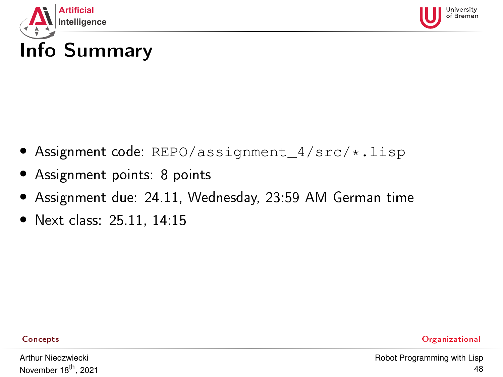<span id="page-47-0"></span>



## Info Summary

- Assignment code: REPO/assignment\_4/src/\*.lisp
- Assignment points: 8 points
- Assignment due: 24.11, Wednesday, 23:59 AM German time
- Next class: 25.11, 14:15

Arthur Niedzwiecki November 18<sup>th</sup>, 2021